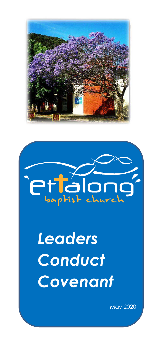



# *Leaders Conduct Covenant*

May 2020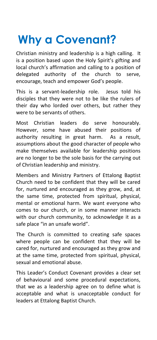## **Why a Covenant?**

Christian ministry and leadership is a high calling. It is a position based upon the Holy Spirit's gifting and local church's affirmation and calling to a position of delegated authority of the church to serve, encourage, teach and empower God's people.

This is a servant-leadership role. Jesus told his disciples that they were not to be like the rulers of their day who lorded over others, but rather they were to be servants of others.

Most Christian leaders do serve honourably. However, some have abused their positions of authority resulting in great harm. As a result, assumptions about the good character of people who make themselves available for leadership positions are no longer to be the sole basis for the carrying out of Christian leadership and ministry.

Members and Ministry Partners of Ettalong Baptist Church need to be confident that they will be cared for, nurtured and encouraged as they grow, and, at the same time, protected from spiritual, physical, mental or emotional harm. We want everyone who comes to our church, or in some manner interacts with our church community, to acknowledge it as a safe place "in an unsafe world".

The Church is committed to creating safe spaces where people can be confident that they will be cared for, nurtured and encouraged as they grow and at the same time, protected from spiritual, physical, sexual and emotional abuse.

This Leader's Conduct Covenant provides a clear set of behavioural and some procedural expectations, that we as a leadership agree on to define what is acceptable and what is unacceptable conduct for leaders at Ettalong Baptist Church.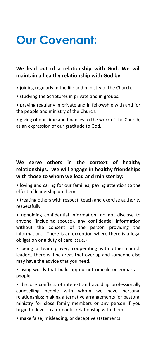### **Our Covenant:**

#### **We lead out of a relationship with God. We will maintain a healthy relationship with God by:**

- joining regularly in the life and ministry of the Church.
- studying the Scriptures in private and in groups.
- praying regularly in private and in fellowship with and for the people and ministry of the Church.

• giving of our time and finances to the work of the Church, as an expression of our gratitude to God.

#### **We serve others in the context of healthy relationships. We will engage in healthy friendships with those to whom we lead and minister by:**

- loving and caring for our families; paying attention to the effect of leadership on them.
- treating others with respect; teach and exercise authority respectfully.

• upholding confidential information; do not disclose to anyone (including spouse), any confidential information without the consent of the person providing the information. (There is an exception where there is a legal obligation or a duty of care issue.)

• being a team player; cooperating with other church leaders, there will be areas that overlap and someone else may have the advice that you need.

• using words that build up; do not ridicule or embarrass people.

• disclose conflicts of interest and avoiding professionally counselling people with whom we have personal relationships; making alternative arrangements for pastoral ministry for close family members or any person if you begin to develop a romantic relationship with them.

• make false, misleading, or deceptive statements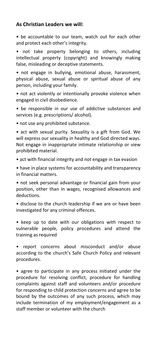#### **As Christian Leaders we will:**

• be accountable to our team, watch out for each other and protect each other's integrity.

• not take property belonging to others, including intellectual property (copyright) and knowingly making false, misleading or deceptive statements.

• not engage in bullying, emotional abuse, harassment, physical abuse, sexual abuse or spiritual abuse of any person, including your family.

• not act violently or intentionally provoke violence when engaged in civil disobedience.

• be responsible in our use of addictive substances and services (e.g. prescriptions/ alcohol).

• not use any prohibited substance.

• act with sexual purity. Sexuality is a gift from God. We will express our sexuality in healthy and God directed ways. Not engage in inappropriate intimate relationship or view prohibited material.

• act with financial integrity and not engage in tax evasion

• have in place systems for accountability and transparency in financial matters.

• not seek personal advantage or financial gain from your position, other than in wages, recognised allowances and deductions.

• disclose to the church leadership if we are or have been investigated for any criminal offences.

• keep up to date with our obligations with respect to vulnerable people, policy procedures and attend the training as required

• report concerns about misconduct and/or abuse according to the church's Safe Church Policy and relevant procedures.

• agree to participate in any process initiated under the procedure for resolving conflict, procedure for handling complaints against staff and volunteers and/or procedure for responding to child protection concerns and agree to be bound by the outcomes of any such process, which may include termination of my employment/engagement as a staff member or volunteer with the church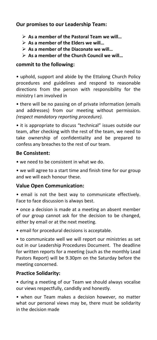#### **Our promises to our Leadership Team:**

- ➢ **As a member of the Pastoral Team we will…**
- ➢ **As a member of the Elders we will…**
- ➢ **As a member of the Diaconate we will…**
- ➢ **As a member of the Church Council we will…**

#### **commit to the following:**

• uphold, support and abide by the Ettalong Church Policy procedures and guidelines and respond to reasonable directions from the person with responsibility for the ministry I am involved in

• there will be no passing on of private information (emails and addresses) from our meeting without permission. *(respect mandatory reporting procedure).*

• it is appropriate to discuss "technical" issues outside our team, after checking with the rest of the team, we need to take ownership of confidentiality and be prepared to confess any breaches to the rest of our team.

#### **Be Consistent:**

• we need to be consistent in what we do.

• we will agree to a start time and finish time for our group and we will each honour these.

#### **Value Open Communication:**

• email is not the best way to communicate effectively. Face to face discussion is always best.

• once a decision is made at a meeting an absent member of our group cannot ask for the decision to be changed, either by email or at the next meeting.

• email for procedural decisions is acceptable.

• to communicate well we will report our ministries as set out in our Leadership Procedures Document. The deadline for written reports for a meeting (such as the monthly Lead Pastors Report) will be 9.30pm on the Saturday before the meeting concerned.

#### **Practice Solidarity:**

• during a meeting of our Team we should always vocalise our views respectfully, candidly and honestly.

• when our Team makes a decision however, no matter what our personal views may be, there must be solidarity in the decision made